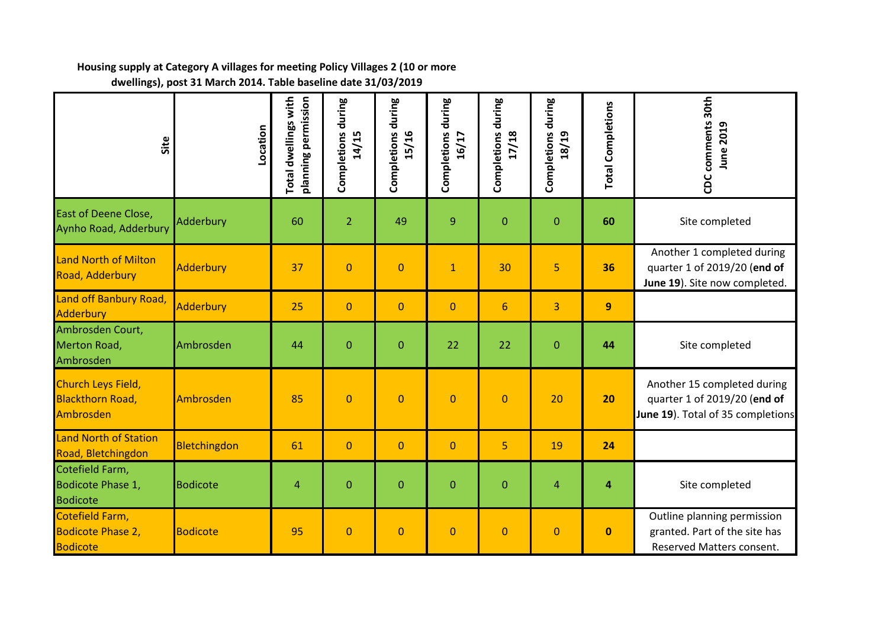## **Housing supply at Category A villages for meeting Policy Villages 2 (10 or more dwellings), post 31 March 2014. Table baseline date 31/03/2019**

| Site                                                           | .ocation         | <b>Total dwellings with</b><br>planning permission | during<br>Completions<br>14/15 | Completions during<br>15/16 | Completions during<br>16/17 | Completions during<br>17/18 | Completions during<br>18/19 | <b>Total Completions</b> | CDC comments 30th<br><b>June 2019</b>                                                            |
|----------------------------------------------------------------|------------------|----------------------------------------------------|--------------------------------|-----------------------------|-----------------------------|-----------------------------|-----------------------------|--------------------------|--------------------------------------------------------------------------------------------------|
| <b>East of Deene Close,</b><br>Aynho Road, Adderbury           | Adderbury        | 60                                                 | $\overline{2}$                 | 49                          | 9                           | $\mathbf{0}$                | $\mathbf{0}$                | 60                       | Site completed                                                                                   |
| <b>Land North of Milton</b><br>Road, Adderbury                 | <b>Adderbury</b> | 37                                                 | $\mathbf{0}$                   | $\overline{0}$              | $\mathbf{1}$                | 30                          | 5                           | 36                       | Another 1 completed during<br>quarter 1 of 2019/20 (end of<br>June 19). Site now completed.      |
| Land off Banbury Road,<br><b>Adderbury</b>                     | <b>Adderbury</b> | 25                                                 | $\mathbf{0}$                   | $\overline{0}$              | $\mathbf 0$                 | $6\phantom{1}6$             | 3                           | $\overline{9}$           |                                                                                                  |
| Ambrosden Court,<br>Merton Road,<br>Ambrosden                  | Ambrosden        | 44                                                 | $\overline{0}$                 | $\overline{0}$              | 22                          | 22                          | $\mathbf{0}$                | 44                       | Site completed                                                                                   |
| Church Leys Field,<br><b>Blackthorn Road,</b><br>Ambrosden     | Ambrosden        | 85                                                 | $\overline{0}$                 | $\overline{0}$              | $\mathbf 0$                 | $\overline{0}$              | 20                          | 20                       | Another 15 completed during<br>quarter 1 of 2019/20 (end of<br>June 19). Total of 35 completions |
| <b>Land North of Station</b><br>Road, Bletchingdon             | Bletchingdon     | 61                                                 | $\mathbf 0$                    | $\overline{0}$              | $\mathbf 0$                 | 5                           | 19                          | 24                       |                                                                                                  |
| Cotefield Farm,<br>Bodicote Phase 1,<br><b>Bodicote</b>        | <b>Bodicote</b>  | $\overline{4}$                                     | $\overline{0}$                 | $\overline{0}$              | $\mathbf{0}$                | $\mathbf 0$                 | $\overline{4}$              | $\overline{\mathbf{4}}$  | Site completed                                                                                   |
| Cotefield Farm,<br><b>Bodicote Phase 2,</b><br><b>Bodicote</b> | <b>Bodicote</b>  | 95                                                 | $\mathbf{0}$                   | $\overline{0}$              | $\mathbf 0$                 | $\mathbf{0}$                | $\mathbf{0}$                | $\mathbf{0}$             | Outline planning permission<br>granted. Part of the site has<br>Reserved Matters consent.        |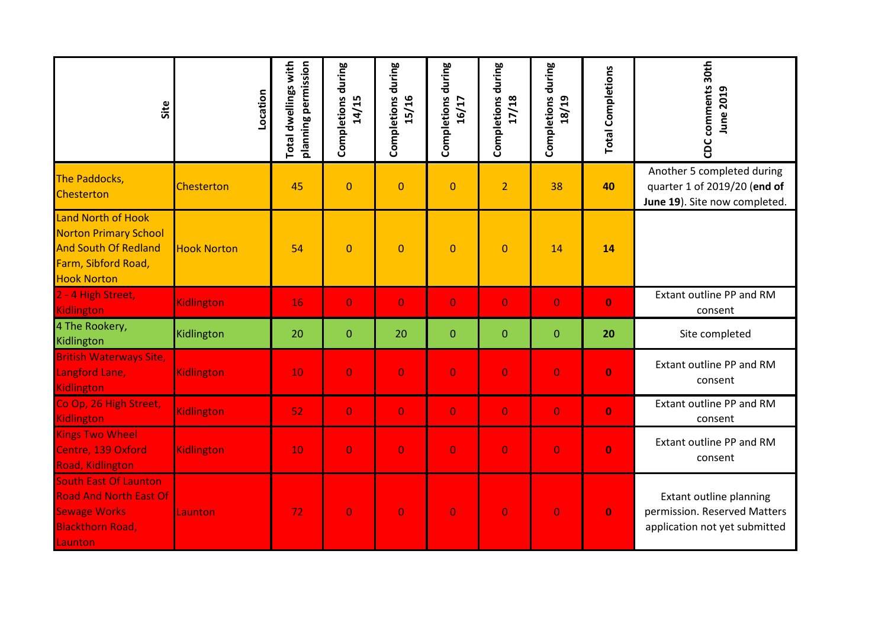| Site                                                                                                                                  | Location           | <b>Total dwellings with</b><br>planning permission | during<br>Completions<br>14/15 | Completions during<br>15/16 | Completions during<br>16/17 | Completions during<br>17/18 | Completions during<br>18/19 | <b>Total Completions</b> | CDC comments 30th<br><b>June 2019</b>                                                       |
|---------------------------------------------------------------------------------------------------------------------------------------|--------------------|----------------------------------------------------|--------------------------------|-----------------------------|-----------------------------|-----------------------------|-----------------------------|--------------------------|---------------------------------------------------------------------------------------------|
| The Paddocks,<br>Chesterton                                                                                                           | <b>Chesterton</b>  | 45                                                 | $\mathbf{0}$                   | $\mathbf 0$                 | $\mathbf 0$                 | $\overline{2}$              | 38                          | 40                       | Another 5 completed during<br>quarter 1 of 2019/20 (end of<br>June 19). Site now completed. |
| <b>Land North of Hook</b><br><b>Norton Primary School</b><br><b>And South Of Redland</b><br>Farm, Sibford Road,<br><b>Hook Norton</b> | <b>Hook Norton</b> | 54                                                 | $\mathbf{0}$                   | $\overline{0}$              | $\overline{0}$              | $\overline{0}$              | 14                          | 14                       |                                                                                             |
| 2 - 4 High Street,<br><b>Kidlington</b>                                                                                               | Kidlington         | 16                                                 | $\overline{O}$                 | $\overline{0}$              | $\overline{0}$              | $\overline{0}$              | $\overline{0}$              | $\bf{0}$                 | Extant outline PP and RM<br>consent                                                         |
| 4 The Rookery,<br>Kidlington                                                                                                          | Kidlington         | 20                                                 | $\boldsymbol{0}$               | 20                          | $\overline{0}$              | $\mathbf{0}$                | $\mathbf{0}$                | 20                       | Site completed                                                                              |
| <b>British Waterways Site,</b><br>Langford Lane,<br>Kidlington                                                                        | Kidlington         | 10                                                 | $\bf{0}$                       | $\overline{0}$              | $\overline{0}$              | $\overline{0}$              | $\overline{0}$              | $\bf{0}$                 | Extant outline PP and RM<br>consent                                                         |
| Co Op, 26 High Street,<br>Kidlington                                                                                                  | Kidlington         | 52                                                 | $\overline{0}$                 | $\overline{0}$              | $\overline{0}$              | $\overline{0}$              | $\overline{0}$              | $\bf{0}$                 | Extant outline PP and RM<br>consent                                                         |
| <b>Kings Two Wheel</b><br>Centre, 139 Oxford<br>Road, Kidlington                                                                      | Kidlington         | 10                                                 | $\bf{0}$                       | $\bf{0}$                    | $\overline{0}$              | $\bf{0}$                    | $\overline{0}$              | $\bf{0}$                 | Extant outline PP and RM<br>consent                                                         |
| <b>South East Of Launton</b><br><b>Road And North East Of</b><br><b>Sewage Works</b><br><b>Blackthorn Road,</b><br>Launton            | Launton            | 72                                                 | $\overline{0}$                 | $\overline{0}$              | $\overline{0}$              | $\overline{0}$              | $\overline{0}$              | $\bf{0}$                 | Extant outline planning<br>permission. Reserved Matters<br>application not yet submitted    |